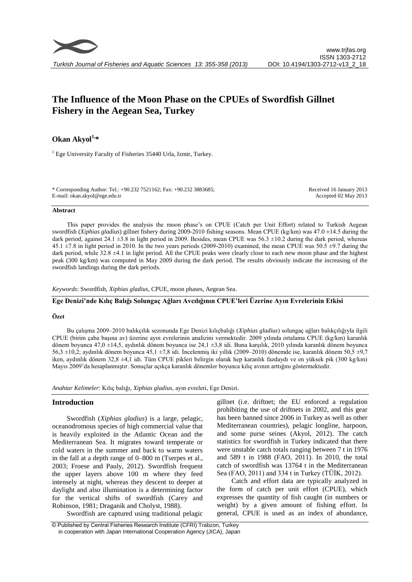# **The Influence of the Moon Phase on the CPUEs of Swordfish Gillnet Fishery in the Aegean Sea, Turkey**

# **Okan Akyol1, \***

<sup>1</sup> Ege University Faculty of Fisheries 35440 Urla, Izmir, Turkey.

\* Corresponding Author: Tel.: +90.232 7521162; Fax: +90.232 3883685; E-mail: okan.akyol@ege.edu.tr

Received 16 January 2013 Accepted 02 May 2013

#### **Abstract**

This paper provides the analysis the moon phase's on CPUE (Catch per Unit Effort) related to Turkish Aegean swordfish (*Xiphias gladius*) gillnet fishery during 2009-2010 fishing seasons. Mean CPUE (kg/km) was 47.0 ±14.5 during the dark period, against 24.1  $\pm 3.8$  in light period in 2009. Besides, mean CPUE was 56.3  $\pm 10.2$  during the dark period, whereas 45.1  $\pm$ 7.8 in light period in 2010. In the two years periods (2009-2010) examined, the mean CPUE was 50.5  $\pm$ 9.7 during the dark period, while 32.8 ±4.1 in light period. All the CPUE peaks were clearly close to each new moon phase and the highest peak (300 kg/km) was computed in May 2009 during the dark period. The results obviously indicate the increasing of the swordfish landings during the dark periods.

*Keywords*: Swordfish, *Xiphias gladius*, CPUE, moon phases, Aegean Sea.

# **Ege Denizi'nde Kılıç Balığı Solungaç Ağları Avcılığının CPUE'leri Üzerine Ayın Evrelerinin Etkisi**

## **Özet**

Bu çalışma 2009–2010 balıkçılık sezonunda Ege Denizi kılıçbalığı (*Xiphias gladius*) solungaç ağları balıkçılığıyla ilgili CPUE (birim çaba başına av) üzerine ayın evrelerinin analizini vermektedir. 2009 yılında ortalama CPUE (kg/km) karanlık dönem boyunca 47,0  $\pm$ 14,5, aydınlık dönem boyunca ise 24,1  $\pm$ 3,8 idi. Buna karşılık, 2010 yılında karanlık dönem boyunca 56,3  $\pm$ 10,2; aydınlık dönem boyunca 45,1  $\pm$ 7,8 idi. İncelenmiş iki yıllık (2009–2010) dönemde ise, karanlık dönem 50,5  $\pm$ 9,7 iken, aydınlık dönem 32,8 ±4,1 idi. Tüm CPUE pikleri belirgin olarak hep karanlık fazdaydı ve en yüksek pik (300 kg/km) Mayıs 2009'da hesaplanmıştır. Sonuçlar açıkça karanlık dönemler boyunca kılıç avının arttığını göstermektedir.

*Anahtar Kelimeler*: Kılıç balığı, *Xiphias gladius*, ayın evreleri, Ege Denizi.

### **Introduction**

Swordfish (*Xiphias gladius*) is a large, pelagic, oceanodromous species of high commercial value that is heavily exploited in the Atlantic Ocean and the Mediterranean Sea. It migrates toward temperate or cold waters in the summer and back to warm waters in the fall at a depth range of 0–800 m (Tserpes et al., 2003; Froese and Pauly, 2012). Swordfish frequent the upper layers above 100 m where they feed intensely at night, whereas they descent to deeper at daylight and also illumination is a determining factor for the vertical shifts of swordfish (Carey and Robinson, 1981; Draganik and Cholyst, 1988).

gillnet (i.e. driftnet; the EU enforced a regulation prohibiting the use of driftnets in 2002, and this gear has been banned since 2006 in Turkey as well as other Mediterranean countries), pelagic longline, harpoon, and some purse seines (Akyol, 2012). The catch statistics for swordfish in Turkey indicated that there were unstable catch totals ranging between 7 t in 1976 and 589 t in 1988 (FAO, 2011). In 2010, the total catch of swordfish was 13764 t in the Mediterranean Sea (FAO, 2011) and 334 t in Turkey (TÜİK, 2012).

Catch and effort data are typically analyzed in the form of catch per unit effort (CPUE), which expresses the quantity of fish caught (in numbers or weight) by a given amount of fishing effort. In general, CPUE is used as an index of abundance,

Swordfish are captured using traditional pelagic

<sup>©</sup> Published by Central Fisheries Research Institute (CFRI) Trabzon, Turkey in cooperation with Japan International Cooperation Agency (JICA), Japan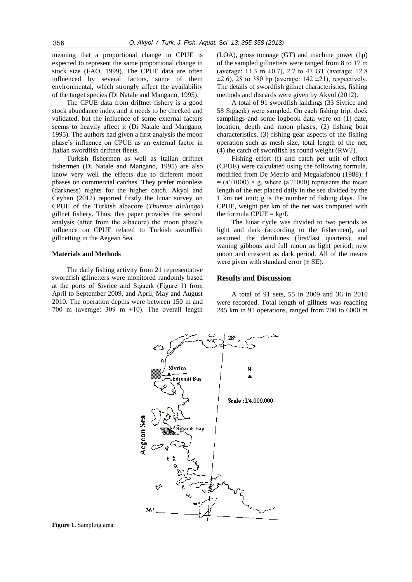meaning that a proportional change in CPUE is expected to represent the same proportional change in stock size (FAO, 1999). The CPUE data are often influenced by several factors, some of them environmental, which strongly affect the availability of the target species (Di Natale and Mangano, 1995).

The CPUE data from driftnet fishery is a good stock abundance index and it needs to be checked and validated, but the influence of some external factors seems to heavily affect it (Di Natale and Mangano, 1995). The authors had given a first analysis the moon phase's influence on CPUE as an external factor in Italian swordfish driftnet fleets.

Turkish fishermen as well as Italian driftnet fishermen (Di Natale and Mangano, 1995) are also know very well the effects due to different moon phases on commercial catches. They prefer moonless (darkness) nights for the higher catch. Akyol and Ceyhan (2012) reported firstly the lunar survey on CPUE of the Turkish albacore (*Thunnus alalunga*) gillnet fishery. Thus, this paper provides the second analysis (after from the albacore) the moon phase's influence on CPUE related to Turkish swordfish gillnetting in the Aegean Sea.

### **Materials and Methods**

The daily fishing activity from 21 representative swordfish gillnetters were monitored randomly based at the ports of Sivrice and Sığacık (Figure 1) from April to September 2009, and April, May and August 2010. The operation depths were between 150 m and 700 m (average: 309 m  $\pm 10$ ). The overall length

(LOA), gross tonnage (GT) and machine power (hp) of the sampled gillnetters were ranged from 8 to 17 m (average: 11.3 m  $\pm$ 0.7), 2.7 to 47 GT (average: 12.8)  $\pm 2.6$ ), 28 to 380 hp (average: 142  $\pm 21$ ), respectively. The details of swordfish gillnet characteristics, fishing methods and discards were given by Akyol (2012).

A total of 91 swordfish landings (33 Sivrice and 58 Sığacık) were sampled. On each fishing trip, dock samplings and some logbook data were on (1) date, location, depth and moon phases, (2) fishing boat characteristics, (3) fishing gear aspects of the fishing operation such as mesh size, total length of the net, (4) the catch of swordfish as round weight (RWT).

Fishing effort (f) and catch per unit of effort (CPUE) were calculated using the following formula, modified from De Metrio and Megalafonou (1988): f  $= (a'/1000) \times g$ , where  $(a'/1000)$  represents the mean length of the net placed daily in the sea divided by the 1 km net unit; g is the number of fishing days. The CPUE, weight per km of the net was computed with the formula  $CPUE = \frac{kg}{f}$ .

The lunar cycle was divided to two periods as light and dark (according to the fishermen), and assumed the demilunes (first/last quarters), and waning gibbous and full moon as light period; new moon and crescent as dark period. All of the means were given with standard error  $(\pm \text{ SE})$ .

#### **Results and Discussion**

A total of 91 sets, 55 in 2009 and 36 in 2010 were recorded. Total length of gillnets was reaching 245 km in 91 operations, ranged from 700 to 6000 m



**Figure 1.** Sampling area.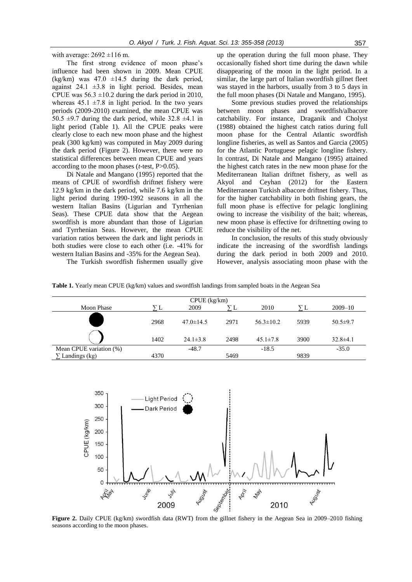with average:  $2692 \pm 116$  m.

The first strong evidence of moon phase's influence had been shown in 2009. Mean CPUE (kg/km) was  $47.0 \pm 14.5$  during the dark period, against  $24.1 \pm 3.8$  in light period. Besides, mean CPUE was  $56.3 \pm 10.2$  during the dark period in 2010, whereas  $45.1 \pm 7.8$  in light period. In the two years periods (2009-2010) examined, the mean CPUE was 50.5  $\pm$ 9.7 during the dark period, while 32.8  $\pm$ 4.1 in light period (Table 1). All the CPUE peaks were clearly close to each new moon phase and the highest peak (300 kg/km) was computed in May 2009 during the dark period (Figure 2). However, there were no statistical differences between mean CPUE and years according to the moon phases (*t*-test, P>0.05).

Di Natale and Mangano (1995) reported that the means of CPUE of swordfish driftnet fishery were 12.9 kg/km in the dark period, while 7.6 kg/km in the light period during 1990-1992 seasons in all the western Italian Basins (Ligurian and Tyrrhenian Seas). These CPUE data show that the Aegean swordfish is more abundant than those of Ligurian and Tyrrhenian Seas. However, the mean CPUE variation ratios between the dark and light periods in both studies were close to each other (i.e. -41% for western Italian Basins and -35% for the Aegean Sea).

The Turkish swordfish fishermen usually give

up the operation during the full moon phase. They occasionally fished short time during the dawn while disappearing of the moon in the light period. In a similar, the large part of Italian swordfish gillnet fleet was stayed in the harbors, usually from 3 to 5 days in the full moon phases (Di Natale and Mangano, 1995).

Some previous studies proved the relationships between moon phases and swordfish/albacore catchability. For instance, Draganik and Cholyst (1988) obtained the highest catch ratios during full moon phase for the Central Atlantic swordfish longline fisheries, as well as Santos and Garcia (2005) for the Atlantic Portuguese pelagic longline fishery. In contrast, Di Natale and Mangano (1995) attained the highest catch rates in the new moon phase for the Mediterranean Italian driftnet fishery, as well as Akyol and Ceyhan (2012) for the Eastern Mediterranean Turkish albacore driftnet fishery. Thus, for the higher catchability in both fishing gears, the full moon phase is effective for pelagic longlining owing to increase the visibility of the bait; whereas, new moon phase is effective for driftnetting owing to reduce the visibility of the net.

In conclusion, the results of this study obviously indicate the increasing of the swordfish landings during the dark period in both 2009 and 2010. However, analysis associating moon phase with the

**Table 1.** Yearly mean CPUE (kg/km) values and swordfish landings from sampled boats in the Aegean Sea

| CPUE (kg/km)            |      |                 |      |                 |      |                |
|-------------------------|------|-----------------|------|-----------------|------|----------------|
| <b>Moon Phase</b>       |      | 2009            |      | 2010            |      | $2009 - 10$    |
|                         | 2968 | $47.0 \pm 14.5$ | 2971 | $56.3 \pm 10.2$ | 5939 | $50.5 \pm 9.7$ |
|                         | 1402 | $24.1 \pm 3.8$  | 2498 | $45.1 \pm 7.8$  | 3900 | $32.8 \pm 4.1$ |
| Mean CPUE variation (%) |      | $-48.7$         |      | $-18.5$         |      | $-35.0$        |
| Landings (kg)           | 4370 |                 | 5469 |                 | 9839 |                |



**Figure 2.** Daily CPUE (kg/km) swordfish data (RWT) from the gillnet fishery in the Aegean Sea in 2009–2010 fishing seasons according to the moon phases.